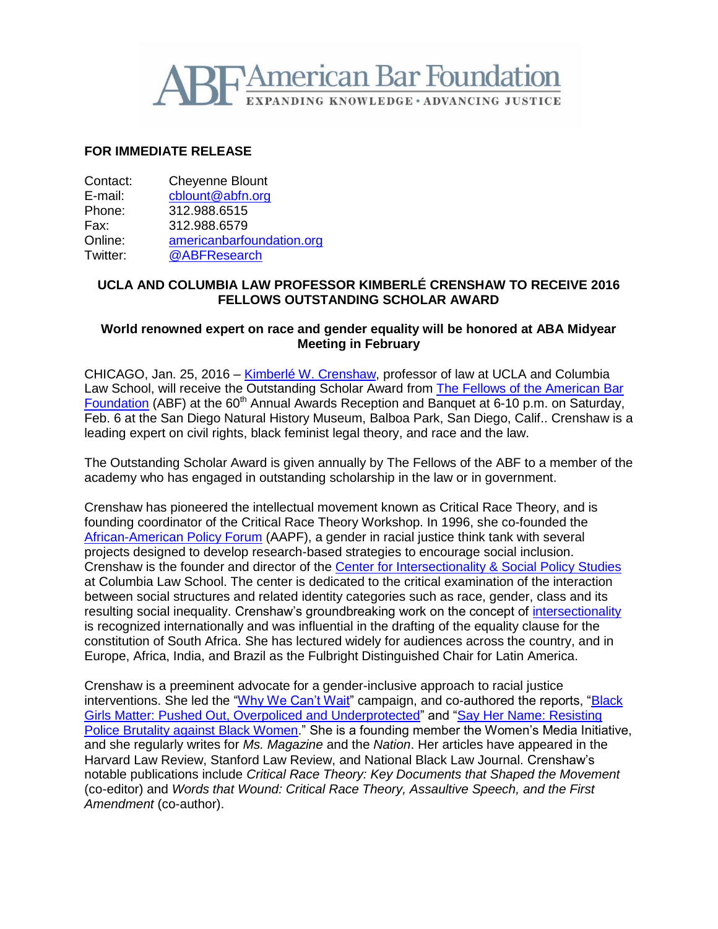

## **FOR IMMEDIATE RELEASE**

| Contact: | <b>Cheyenne Blount</b>    |
|----------|---------------------------|
| E-mail:  | cblount@abfn.org          |
| Phone:   | 312.988.6515              |
| Fax:     | 312.988.6579              |
| Online:  | americanbarfoundation.org |
| Twitter: | @ABFResearch              |

## **UCLA AND COLUMBIA LAW PROFESSOR KIMBERLÉ CRENSHAW TO RECEIVE 2016 FELLOWS OUTSTANDING SCHOLAR AWARD**

## **World renowned expert on race and gender equality will be honored at ABA Midyear Meeting in February**

CHICAGO, Jan. 25, 2016 – Kimberlé [W. Crenshaw,](http://www.aapf.org/kimberle-crenshaw/) professor of law at UCLA and Columbia Law School, will receive the Outstanding Scholar Award from [The Fellows of the American Bar](http://www.americanbarfoundation.org/fellows/index.html)  [Foundation](http://www.americanbarfoundation.org/fellows/index.html) (ABF) at the 60<sup>th</sup> Annual Awards Reception and Banquet at 6-10 p.m. on Saturday, Feb. 6 at the San Diego Natural History Museum, Balboa Park, San Diego, Calif.. Crenshaw is a leading expert on civil rights, black feminist legal theory, and race and the law.

The Outstanding Scholar Award is given annually by The Fellows of the ABF to a member of the academy who has engaged in outstanding scholarship in the law or in government.

Crenshaw has pioneered the intellectual movement known as Critical Race Theory, and is founding coordinator of the Critical Race Theory Workshop. In 1996, she co-founded the [African-American Policy Forum](http://www.aapf.org/) (AAPF), a gender in racial justice think tank with several projects designed to develop research-based strategies to encourage social inclusion. Crenshaw is the founder and director of the [Center for Intersectionality & Social Policy Studies](http://www.law.columbia.edu/centers/intersectionality/about-the-center) at Columbia Law School. The center is dedicated to the critical examination of the interaction between social structures and related identity categories such as race, gender, class and its resulting social inequality. Crenshaw's groundbreaking work on the concept of [intersectionality](http://www.americanbar.org/content/dam/aba/publishing/perspectives_magazine/women_perspectives_Spring2004CrenshawPSP.authcheckdam.pdf) is recognized internationally and was influential in the drafting of the equality clause for the constitution of South Africa. She has lectured widely for audiences across the country, and in Europe, Africa, India, and Brazil as the Fulbright Distinguished Chair for Latin America.

Crenshaw is a preeminent advocate for a gender-inclusive approach to racial justice interventions. She led the ["Why We Can't Wait"](http://www.aapf.org/mybrotherskeeper/) campaign, and co-authored the reports, ["Black](http://www.atlanticphilanthropies.org/sites/default/files/uploads/BlackGirlsMatter_Report.pdf)  [Girls Matter: Pushed Out, Overpoliced and Underprotected"](http://www.atlanticphilanthropies.org/sites/default/files/uploads/BlackGirlsMatter_Report.pdf) and ["Say Her Name: Resisting](http://static1.squarespace.com/static/53f20d90e4b0b80451158d8c/t/560c068ee4b0af26f72741df/1443628686535/AAPF_SMN_Brief_Full_singles-min.pdf)  [Police Brutality against Black Women.](http://static1.squarespace.com/static/53f20d90e4b0b80451158d8c/t/560c068ee4b0af26f72741df/1443628686535/AAPF_SMN_Brief_Full_singles-min.pdf)" She is a founding member the Women's Media Initiative, and she regularly writes for *Ms. Magazine* and the *Nation*. Her articles have appeared in the Harvard Law Review, Stanford Law Review, and National Black Law Journal. Crenshaw's notable publications include *Critical Race Theory: Key Documents that Shaped the Movement*  (co-editor) and *Words that Wound: Critical Race Theory, Assaultive Speech, and the First Amendment* (co-author).